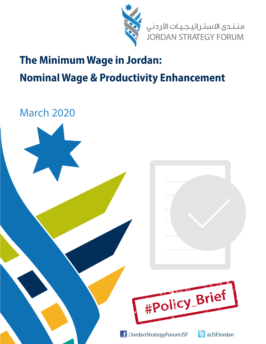

منـتـدى الاستـراتيـجـيـات الأردني<br>JORDAN STRATEGY FORUM

## **The Minimum Wage in Jordan: Nominal Wage & Productivity Enhancement**

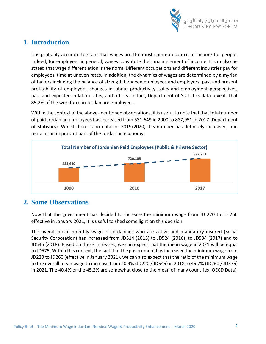

## **1. Introduction**

It is probably accurate to state that wages are the most common source of income for people. Indeed, for employees in general, wages constitute their main element of income. It can also be stated that wage differentiation is the norm. Different occupations and different industries pay for employees' time at uneven rates. In addition, the dynamics of wages are determined by a myriad of factors including the balance of strength between employees and employers, past and present profitability of employers, changes in labour productivity, sales and employment perspectives, past and expected inflation rates, and others. In fact, Department of Statistics data reveals that 85.2% of the workforce in Jordan are employees.

Within the context of the above-mentioned observations, it is useful to note that that total number of paid Jordanian employees has increased from 531,649 in 2000 to 887,951 in 2017 (Department of Statistics). Whilst there is no data for 2019/2020, this number has definitely increased, and remains an important part of the Jordanian economy.



## **2. Some Observations**

Now that the government has decided to increase the minimum wage from JD 220 to JD 260 effective in January 2021, it is useful to shed some light on this decision.

The overall mean monthly wage of Jordanians who are active and mandatory insured (Social Security Corporation) has increased from JD514 (2015) to JD524 (2016), to JD534 (2017) and to JD545 (2018). Based on these increases, we can expect that the mean wage in 2021 will be equal to JD575. Within this context, the fact that the government has increased the minimum wage from JD220 to JD260 (effective in January 2021), we can also expect that the ratio of the minimum wage to the overall mean wage to increase from 40.4% (JD220 / JD545) in 2018 to 45.2% (JD260 / JD575) in 2021. The 40.4% or the 45.2% are somewhat close to the mean of many countries (OECD Data).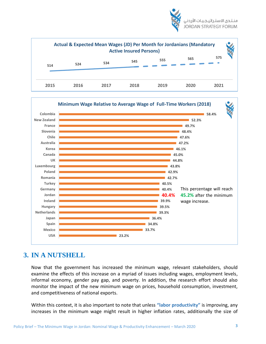





## **3. IN A NUTSHELL**

Now that the government has increased the minimum wage, relevant stakeholders, should examine the effects of this increase on a myriad of issues including wages, employment levels, informal economy, gender pay gap, and poverty. In addition, the research effort should also monitor the impact of the new minimum wage on prices, household consumption, investment, and competitiveness of national exports.

Within this context, it is also important to note that unless **"labor productivity"** is improving, any increases in the minimum wage might result in higher inflation rates, additionally the size of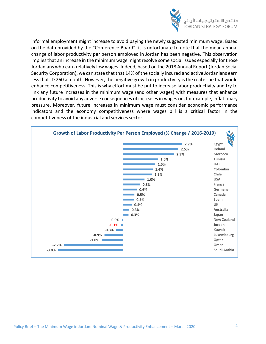

informal employment might increase to avoid paying the newly suggested minimum wage. Based on the data provided by the "Conference Board", it is unfortunate to note that the mean annual change of labor productivity per person employed in Jordan has been negative. This observation implies that an increase in the minimum wage might resolve some social issues especially for those Jordanians who earn relatively low wages. Indeed, based on the 2018 Annual Report (Jordan Social Security Corporation), we can state that that 14% of the socially insured and active Jordanians earn less that JD 260 a month. However, the negative growth in productivity is the real issue that would enhance competitiveness. This is why effort must be put to increase labor productivity and try to link any future increases in the minimum wage (and other wages) with measures that enhance productivity to avoid any adverse consequences of increases in wages on, for example, inflationary pressure. Moreover, future increases in minimum wage must consider economic performance indicators and the economy competitiveness where wages bill is a critical factor in the competitiveness of the industrial and services sector.